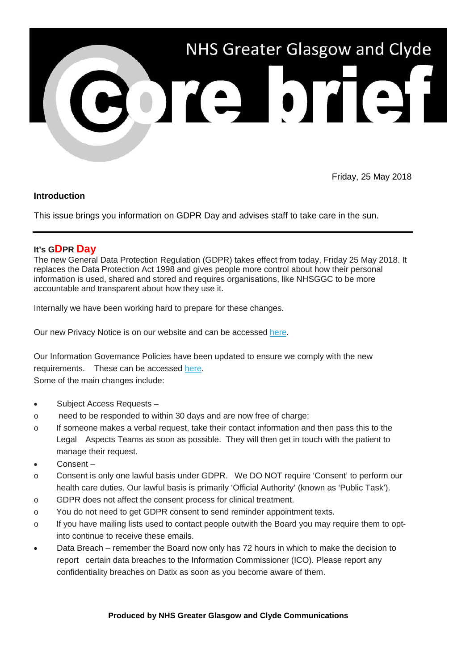

Friday, 25 May 2018

### **Introduction**

This issue brings you information on GDPR Day and advises staff to take care in the sun.

## **It's GDPR Day**

The new General Data Protection Regulation (GDPR) takes effect from today, Friday 25 May 2018. It replaces the Data Protection Act 1998 and gives people more control about how their personal information is used, shared and stored and requires organisations, like NHSGGC to be more accountable and transparent about how they use it.

Internally we have been working hard to prepare for these changes.

Our new Privacy Notice is on our website and can be accessed [here.](https://nhsggc.us12.list-manage.com/track/click?u=0f385b5aea37eaf0213bd19fb&id=4b39d5fefd&e=5af5e1832c)

Our Information Governance Policies have been updated to ensure we comply with the new requirements. These can be accessed [here.](https://nhsggc.us12.list-manage.com/track/click?u=0f385b5aea37eaf0213bd19fb&id=90967b576f&e=5af5e1832c) Some of the main changes include:

- Subject Access Requests –
- o need to be responded to within 30 days and are now free of charge;
- o If someone makes a verbal request, take their contact information and then pass this to the Legal Aspects Teams as soon as possible. They will then get in touch with the patient to manage their request.
- Consent –
- o Consent is only one lawful basis under GDPR. We DO NOT require 'Consent' to perform our health care duties. Our lawful basis is primarily 'Official Authority' (known as 'Public Task').
- o GDPR does not affect the consent process for clinical treatment.
- o You do not need to get GDPR consent to send reminder appointment texts.
- o If you have mailing lists used to contact people outwith the Board you may require them to optinto continue to receive these emails.
- Data Breach remember the Board now only has 72 hours in which to make the decision to report certain data breaches to the Information Commissioner (ICO). Please report any confidentiality breaches on Datix as soon as you become aware of them.

#### **Produced by NHS Greater Glasgow and Clyde Communications**